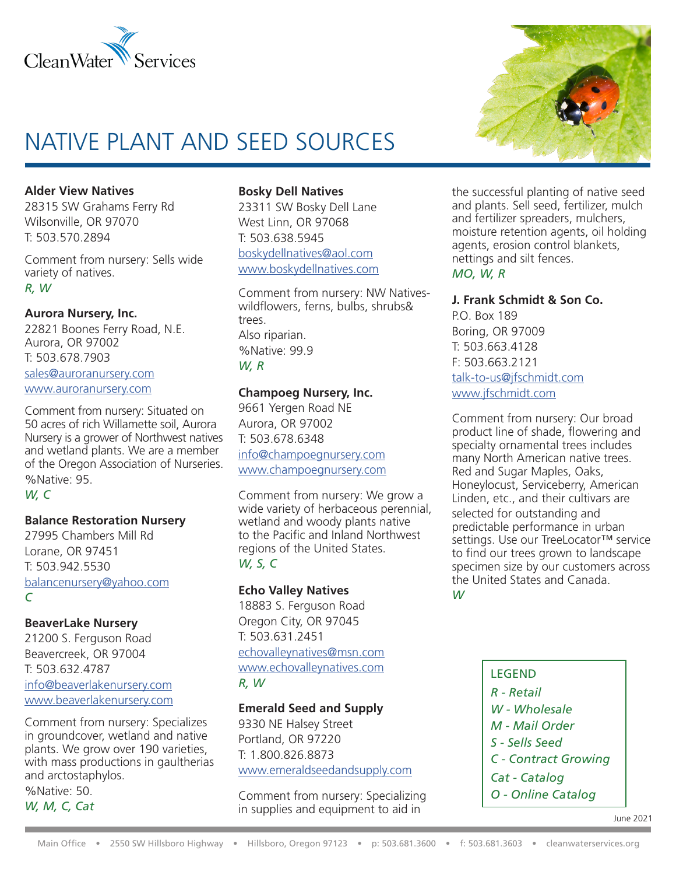

# NATIVE PLANT AND SEED SOURCES

**Alder View Natives**

28315 SW Grahams Ferry Rd Wilsonville, OR 97070 T: 503.570.2894

Comment from nursery: Sells wide variety of natives. *R, W*

## **Aurora Nursery, Inc.**

22821 Boones Ferry Road, N.E. Aurora, OR 97002 T: 503.678.7903 sales@auroranursery.com www.auroranursery.com

Comment from nursery: Situated on 50 acres of rich Willamette soil, Aurora Nursery is a grower of Northwest natives and wetland plants. We are a member of the Oregon Association of Nurseries. %Native: 95. *W, C*

## **Balance Restoration Nursery**

27995 Chambers Mill Rd Lorane, OR 97451 T: 503.942.5530 balancenursery@yahoo.com *C*

## **BeaverLake Nursery**

21200 S. Ferguson Road Beavercreek, OR 97004 T: 503.632.4787 info@beaverlakenursery.com www.beaverlakenursery.com

Comment from nursery: Specializes in groundcover, wetland and native plants. We grow over 190 varieties, with mass productions in gaultherias and arctostaphylos.

%Native: 50. *W, M, C, Cat*

#### **Bosky Dell Natives**

23311 SW Bosky Dell Lane West Linn, OR 97068 T: 503.638.5945 boskydellnatives@aol.com www.boskydellnatives.com

Comment from nursery: NW Nativeswildflowers, ferns, bulbs, shrubs& trees. Also riparian. %Native: 99.9 *W, R*

## **Champoeg Nursery, Inc.**

9661 Yergen Road NE Aurora, OR 97002 T: 503.678.6348 info@champoegnursery.com www.champoegnursery.com

Comment from nursery: We grow a wide variety of herbaceous perennial, wetland and woody plants native to the Pacific and Inland Northwest regions of the United States. *W, S, C*

## **Echo Valley Natives**

18883 S. Ferguson Road Oregon City, OR 97045 T: 503.631.2451 echovalleynatives@msn.com www.echovalleynatives.com *R, W*

## **Emerald Seed and Supply**

9330 NE Halsey Street Portland, OR 97220 T: 1.800.826.8873 www.emeraldseedandsupply.com

Comment from nursery: Specializing in supplies and equipment to aid in



the successful planting of native seed and plants. Sell seed, fertilizer, mulch and fertilizer spreaders, mulchers, moisture retention agents, oil holding agents, erosion control blankets, nettings and silt fences. *MO, W, R*

#### **J. Frank Schmidt & Son Co.**

P.O. Box 189 Boring, OR 97009 T: 503.663.4128 F: 503.663.2121 talk-to-us@jfschmidt.com www.jfschmidt.com

Comment from nursery: Our broad product line of shade, flowering and specialty ornamental trees includes many North American native trees. Red and Sugar Maples, Oaks, Honeylocust, Serviceberry, American Linden, etc., and their cultivars are selected for outstanding and predictable performance in urban settings. Use our TreeLocator™ service to find our trees grown to landscape specimen size by our customers across the United States and Canada.

*W*

LEGEND *R - Retail W - Wholesale M - Mail Order S - Sells Seed C - Contract Growing Cat - Catalog O - Online Catalog*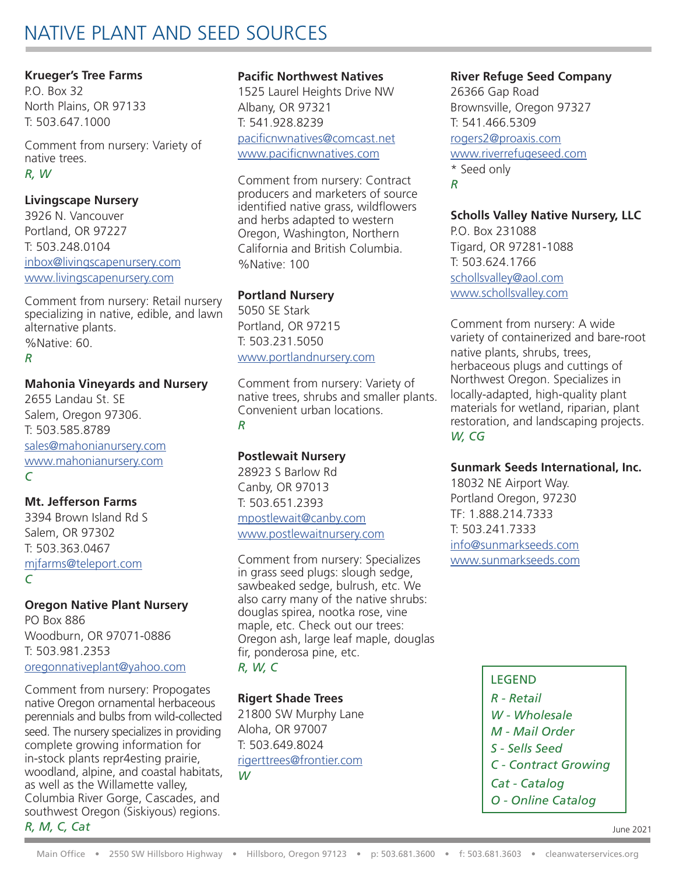## NATIVE PLANT AND SEED SOURCES

## **Krueger's Tree Farms**

P.O. Box 32 North Plains, OR 97133 T: 503.647.1000

Comment from nursery: Variety of native trees. *R, W*

## **Livingscape Nursery**

3926 N. Vancouver Portland, OR 97227 T: 503.248.0104 inbox@livingscapenursery.com www.livingscapenursery.com

Comment from nursery: Retail nursery specializing in native, edible, and lawn alternative plants. %Native: 60. *R*

## **Mahonia Vineyards and Nursery**

2655 Landau St. SE Salem, Oregon 97306. T: 503.585.8789 sales@mahonianursery.com www.mahonianursery.com *C*

## **Mt. Jefferson Farms**

3394 Brown Island Rd S Salem, OR 97302 T: 503.363.0467 mjfarms@teleport.com *C*

**Oregon Native Plant Nursery** PO Box 886

Woodburn, OR 97071-0886 T: 503.981.2353 oregonnativeplant@yahoo.com

Comment from nursery: Propogates native Oregon ornamental herbaceous perennials and bulbs from wild-collected seed. The nursery specializes in providing complete growing information for in-stock plants repr4esting prairie, woodland, alpine, and coastal habitats, as well as the Willamette valley, Columbia River Gorge, Cascades, and southwest Oregon (Siskiyous) regions.

## *R, M, C, Cat*

## **Pacific Northwest Natives**

1525 Laurel Heights Drive NW Albany, OR 97321 T: 541.928.8239 pacificnwnatives@comcast.net

www.pacificnwnatives.com

Comment from nursery: Contract producers and marketers of source identified native grass, wildflowers and herbs adapted to western Oregon, Washington, Northern California and British Columbia. %Native: 100

## **Portland Nursery**

5050 SE Stark Portland, OR 97215 T: 503.231.5050 www.portlandnursery.com

Comment from nursery: Variety of native trees, shrubs and smaller plants. Convenient urban locations.

## *R*

## **Postlewait Nursery**

28923 S Barlow Rd Canby, OR 97013 T: 503.651.2393 mpostlewait@canby.com www.postlewaitnursery.com

Comment from nursery: Specializes in grass seed plugs: slough sedge, sawbeaked sedge, bulrush, etc. We also carry many of the native shrubs: douglas spirea, nootka rose, vine maple, etc. Check out our trees: Oregon ash, large leaf maple, douglas fir, ponderosa pine, etc. *R, W, C*

## **Rigert Shade Trees**

21800 SW Murphy Lane Aloha, OR 97007 T: 503.649.8024 rigerttrees@frontier.com *W*

## **River Refuge Seed Company**

26366 Gap Road Brownsville, Oregon 97327 T: 541.466.5309 rogers2@proaxis.com www.riverrefugeseed.com \* Seed only *R*

## **Scholls Valley Native Nursery, LLC**

P.O. Box 231088 Tigard, OR 97281-1088 T: 503.624.1766 schollsvalley@aol.com www.schollsvalley.com

Comment from nursery: A wide variety of containerized and bare-root native plants, shrubs, trees, herbaceous plugs and cuttings of Northwest Oregon. Specializes in locally-adapted, high-quality plant materials for wetland, riparian, plant restoration, and landscaping projects. *W, CG*

## **Sunmark Seeds International, Inc.**

18032 NE Airport Way. Portland Oregon, 97230 TF: 1.888.214.7333 T: 503.241.7333 info@sunmarkseeds.com www.sunmarkseeds.com

> LEGEND *R - Retail W - Wholesale M - Mail Order S - Sells Seed C - Contract Growing Cat - Catalog O - Online Catalog*